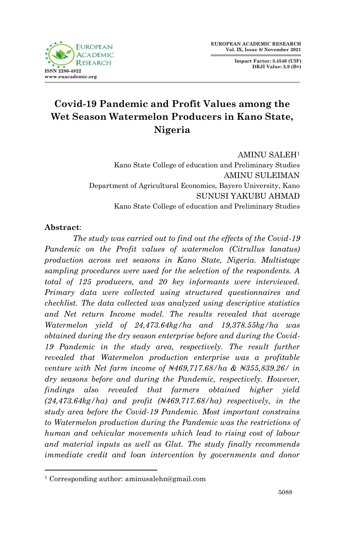

**Impact Factor: 3.4546 (UIF) DRJI Value: 5.9 (B+)**

# **Covid-19 Pandemic and Profit Values among the Wet Season Watermelon Producers in Kano State, Nigeria**

AMINU SALEH<sup>1</sup> Kano State College of education and Preliminary Studies AMINU SULEIMAN Department of Agricultural Economics, Bayero University, Kano SUNUSI YAKUBU AHMAD Kano State College of education and Preliminary Studies

## **Abstract**:

1

*The study was carried out to find out the effects of the Covid-19 Pandemic on the Profit values of watermelon (Citrullus lanatus) production across wet seasons in Kano State, Nigeria. Multistage sampling procedures were used for the selection of the respondents. A total of 125 producers, and 20 key informants were interviewed. Primary data were collected using structured questionnaires and checklist. The data collected was analyzed using descriptive statistics and Net return Income model. The results revealed that average Watermelon yield of 24,473.64kg/ha and 19,378.55kg/ha was obtained during the dry season enterprise before and during the Covid-*19 Pandemic in the study area, respectively. The result further *revealed that Watermelon production enterprise was a profitable venture with Net farm income of ₦469,717.68/ha & ₦355,839.26/ in dry seasons before and during the Pandemic, respectively. However, findings also revealed that farmers obtained higher yield (24,473.64kg/ha) and profit (₦469,717.68/ha) respectively, in the study area before the Covid-19 Pandemic. Most important constrains to Watermelon production during the Pandemic was the restrictions of human and vehicular movements which lead to rising cost of labour and material inputs as well as Glut. The study finally recommends immediate credit and loan intervention by governments and donor* 

<sup>1</sup> Corresponding author: aminusalehn@gmail.com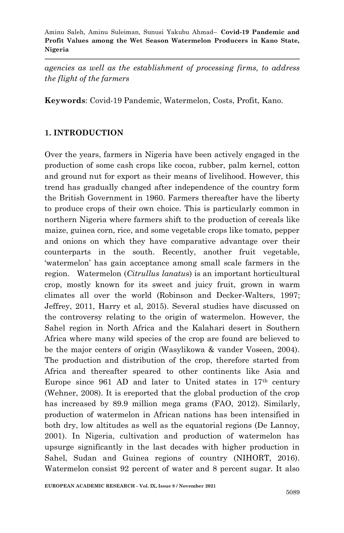*agencies as well as the establishment of processing firms, to address the flight of the farmers* 

**Keywords**: Covid-19 Pandemic, Watermelon, Costs, Profit, Kano*.*

### **1. INTRODUCTION**

Over the years, farmers in Nigeria have been actively engaged in the production of some cash crops like cocoa, rubber, palm kernel, cotton and ground nut for export as their means of livelihood. However, this trend has gradually changed after independence of the country form the British Government in 1960. Farmers thereafter have the liberty to produce crops of their own choice. This is particularly common in northern Nigeria where farmers shift to the production of cereals like maize, guinea corn, rice, and some vegetable crops like tomato, pepper and onions on which they have comparative advantage over their counterparts in the south. Recently, another fruit vegetable, 'watermelon' has gain acceptance among small scale farmers in the region. Watermelon (*Citrullus lanatu*s) is an important horticultural crop, mostly known for its sweet and juicy fruit, grown in warm climates all over the world (Robinson and Decker-Walters, 1997; Jeffrey, 2011, Harry et al, 2015). Several studies have discussed on the controversy relating to the origin of watermelon. However, the Sahel region in North Africa and the Kalahari desert in Southern Africa where many wild species of the crop are found are believed to be the major centers of origin (Wasylikowa & vander Voseen, 2004). The production and distribution of the crop, therefore started from Africa and thereafter speared to other continents like Asia and Europe since 961 AD and later to United states in 17th century (Wehner, 2008). It is ereported that the global production of the crop has increased by 89.9 million mega grams (FAO, 2012). Similarly, production of watermelon in African nations has been intensified in both dry, low altitudes as well as the equatorial regions (De Lannoy, 2001). In Nigeria, cultivation and production of watermelon has upsurge significantly in the last decades with higher production in Sahel, Sudan and Guinea regions of country (NIHORT, 2016). Watermelon consist 92 percent of water and 8 percent sugar. It also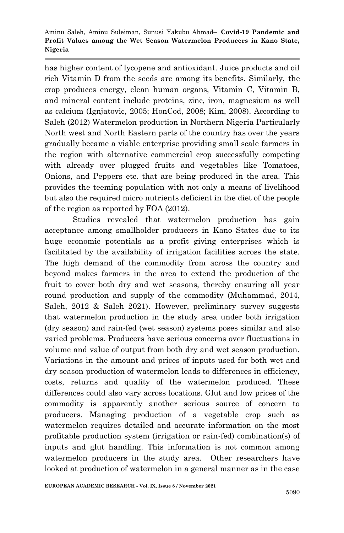has higher content of lycopene and antioxidant. Juice products and oil rich Vitamin D from the seeds are among its benefits. Similarly, the crop produces energy, clean human organs, Vitamin C, Vitamin B, and mineral content include proteins, zinc, iron, magnesium as well as calcium (Ignjatovic, 2005; HonCod, 2008; Kim, 2008). According to Saleh (2012) Watermelon production in Northern Nigeria Particularly North west and North Eastern parts of the country has over the years gradually became a viable enterprise providing small scale farmers in the region with alternative commercial crop successfully competing with already over plugged fruits and vegetables like Tomatoes, Onions, and Peppers etc. that are being produced in the area. This provides the teeming population with not only a means of livelihood but also the required micro nutrients deficient in the diet of the people of the region as reported by FOA (2012).

Studies revealed that watermelon production has gain acceptance among smallholder producers in Kano States due to its huge economic potentials as a profit giving enterprises which is facilitated by the availability of irrigation facilities across the state. The high demand of the commodity from across the country and beyond makes farmers in the area to extend the production of the fruit to cover both dry and wet seasons, thereby ensuring all year round production and supply of the commodity (Muhammad, 2014, Saleh, 2012 & Saleh 2021). However, preliminary survey suggests that watermelon production in the study area under both irrigation (dry season) and rain-fed (wet season) systems poses similar and also varied problems. Producers have serious concerns over fluctuations in volume and value of output from both dry and wet season production. Variations in the amount and prices of inputs used for both wet and dry season production of watermelon leads to differences in efficiency, costs, returns and quality of the watermelon produced. These differences could also vary across locations. Glut and low prices of the commodity is apparently another serious source of concern to producers. Managing production of a vegetable crop such as watermelon requires detailed and accurate information on the most profitable production system (irrigation or rain-fed) combination(s) of inputs and glut handling. This information is not common among watermelon producers in the study area. Other researchers have looked at production of watermelon in a general manner as in the case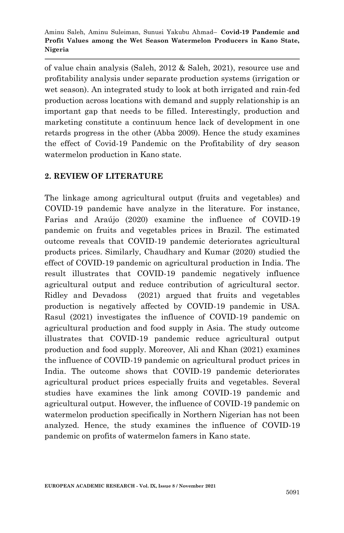of value chain analysis (Saleh, 2012 & Saleh, 2021), resource use and profitability analysis under separate production systems (irrigation or wet season). An integrated study to look at both irrigated and rain-fed production across locations with demand and supply relationship is an important gap that needs to be filled. Interestingly, production and marketing constitute a continuum hence lack of development in one retards progress in the other (Abba 2009). Hence the study examines the effect of Covid-19 Pandemic on the Profitability of dry season watermelon production in Kano state.

## **2. REVIEW OF LITERATURE**

The linkage among agricultural output (fruits and vegetables) and COVID-19 pandemic have analyze in the literature. For instance, Farias and Araújo (2020) examine the influence of COVID-19 pandemic on fruits and vegetables prices in Brazil. The estimated outcome reveals that COVID-19 pandemic deteriorates agricultural products prices. Similarly, Chaudhary and Kumar (2020) studied the effect of COVID-19 pandemic on agricultural production in India. The result illustrates that COVID-19 pandemic negatively influence agricultural output and reduce contribution of agricultural sector. Ridley and Devadoss (2021) argued that fruits and vegetables production is negatively affected by COVID-19 pandemic in USA. Rasul (2021) investigates the influence of COVID-19 pandemic on agricultural production and food supply in Asia. The study outcome illustrates that COVID-19 pandemic reduce agricultural output production and food supply. Moreover, Ali and Khan (2021) examines the influence of COVID-19 pandemic on agricultural product prices in India. The outcome shows that COVID-19 pandemic deteriorates agricultural product prices especially fruits and vegetables. Several studies have examines the link among COVID-19 pandemic and agricultural output. However, the influence of COVID-19 pandemic on watermelon production specifically in Northern Nigerian has not been analyzed. Hence, the study examines the influence of COVID-19 pandemic on profits of watermelon famers in Kano state.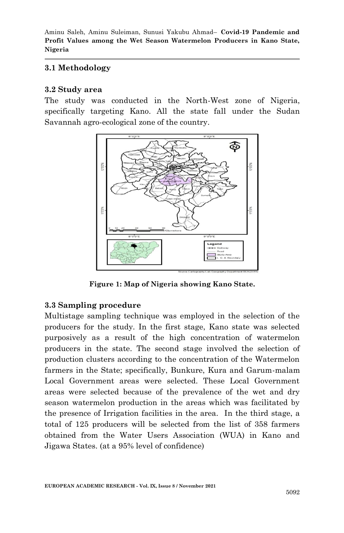## **3.1 Methodology**

#### **3.2 Study area**

The study was conducted in the North-West zone of Nigeria, specifically targeting Kano. All the state fall under the Sudan Savannah agro-ecological zone of the country.



**Figure 1: Map of Nigeria showing Kano State.**

### **3.3 Sampling procedure**

Multistage sampling technique was employed in the selection of the producers for the study. In the first stage, Kano state was selected purposively as a result of the high concentration of watermelon producers in the state. The second stage involved the selection of production clusters according to the concentration of the Watermelon farmers in the State; specifically, Bunkure, Kura and Garum-malam Local Government areas were selected. These Local Government areas were selected because of the prevalence of the wet and dry season watermelon production in the areas which was facilitated by the presence of Irrigation facilities in the area. In the third stage, a total of 125 producers will be selected from the list of 358 farmers obtained from the Water Users Association (WUA) in Kano and Jigawa States. (at a 95% level of confidence)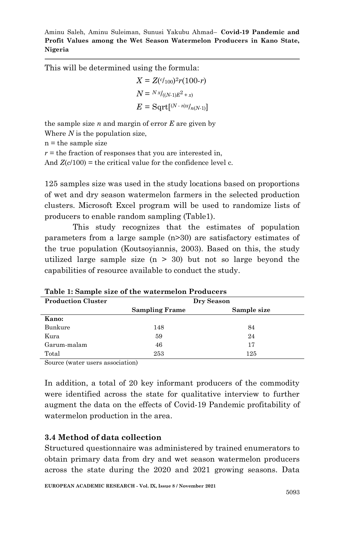This will be determined using the formula:

$$
X = Z^{(c_{100})^2}r(100-r)
$$

$$
N = {}^{Nx}/((N-1)E^2 + x)
$$

$$
E = \text{Sqrt}[^{(N-n)x/_{n(N-1)}]}
$$

the sample size *n* and margin of error *E* are given by Where *N* is the population size,

 $n =$  the sample size

 $r =$  the fraction of responses that you are interested in,

And  $Z(c/100)$  = the critical value for the confidence level c.

125 samples size was used in the study locations based on proportions of wet and dry season watermelon farmers in the selected production clusters. Microsoft Excel program will be used to randomize lists of producers to enable random sampling (Table1).

This study recognizes that the estimates of population parameters from a large sample (n>30) are satisfactory estimates of the true population (Koutsoyiannis, 2003). Based on this, the study utilized large sample size  $(n > 30)$  but not so large beyond the capabilities of resource available to conduct the study.

| <b>Production Cluster</b> | Dry Season            |             |  |
|---------------------------|-----------------------|-------------|--|
|                           | <b>Sampling Frame</b> | Sample size |  |
| Kano:                     |                       |             |  |
| Bunkure                   | 148                   | 84          |  |
| Kura                      | 59                    | 24          |  |
| Garum-malam               | 46                    | 17          |  |
| Total                     | 253                   | 125         |  |

**Table 1: Sample size of the watermelon Producers**

Source (water users association)

In addition, a total of 20 key informant producers of the commodity were identified across the state for qualitative interview to further augment the data on the effects of Covid-19 Pandemic profitability of watermelon production in the area.

### **3.4 Method of data collection**

Structured questionnaire was administered by trained enumerators to obtain primary data from dry and wet season watermelon producers across the state during the 2020 and 2021 growing seasons. Data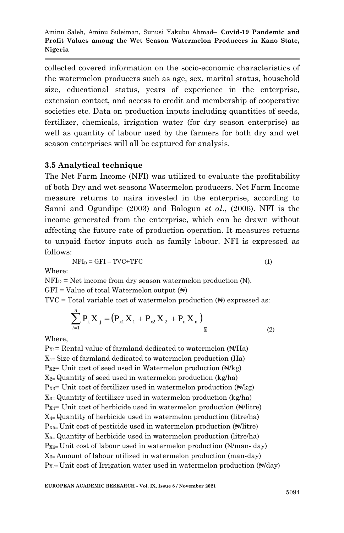collected covered information on the socio-economic characteristics of the watermelon producers such as age, sex, marital status, household size, educational status, years of experience in the enterprise, extension contact, and access to credit and membership of cooperative societies etc. Data on production inputs including quantities of seeds, fertilizer, chemicals, irrigation water (for dry season enterprise) as well as quantity of labour used by the farmers for both dry and wet season enterprises will all be captured for analysis.

#### **3.5 Analytical technique**

The Net Farm Income (NFI) was utilized to evaluate the profitability of both Dry and wet seasons Watermelon producers. Net Farm Income measure returns to naira invested in the enterprise, according to Sanni and Ogundipe (2003) and Balogun *et al*., (2006). NFI is the income generated from the enterprise, which can be drawn without affecting the future rate of production operation. It measures returns to unpaid factor inputs such as family labour. NFI is expressed as follows:

$$
NFID = GFI - TVC + TFC
$$
 (1)

Where:

 $NFI<sub>D</sub>$  = Net income from dry season watermelon production  $(N)$ .

 $GFI = Value of total Watermelon output (H)$ 

 $TVC = Total variable cost of watermelon production ( $\vec{H}$ ) expressed as:$ 

$$
\sum_{i=1}^{n} P_{i.} X_{.j} = (P_{x1} X_1 + P_{x2} X_2 + P_{n} X_{n})
$$
\n(2)

Where,

 $P_{X1}$ = Rental value of farmland dedicated to watermelon ( $\angle$ ) H(Ha)  $X_{1}$ = Size of farmland dedicated to watermelon production (Ha)  $P_{X2}$ = Unit cost of seed used in Watermelon production ( $\mathbb{N}/\text{kg}$ )  $X_{2}$ = Quantity of seed used in watermelon production (kg/ha)  $P_{X3}$ = Unit cost of fertilizer used in watermelon production ( $\mathbb{N}/\mathrm{kg}$ )  $X_{3}$ = Quantity of fertilizer used in watermelon production (kg/ha)  $P_{X4}$ = Unit cost of herbicide used in watermelon production ( $\mathbb{N}/$ litre) X4= Quantity of herbicide used in watermelon production (litre/ha)  $P_{X5}$ = Unit cost of pesticide used in watermelon production ( $\mathbb{N}/$ litre) X5= Quantity of herbicide used in watermelon production (litre/ha)  $P_{X6=}$  Unit cost of labour used in watermelon production  $(\mathbb{N}/\text{man-} \text{ day})$  $X_{6}$ = Amount of labour utilized in watermelon production (man-day)  $P_{X7}=$  Unit cost of Irrigation water used in watermelon production  $(\sqrt{d}/d\text{a}y)$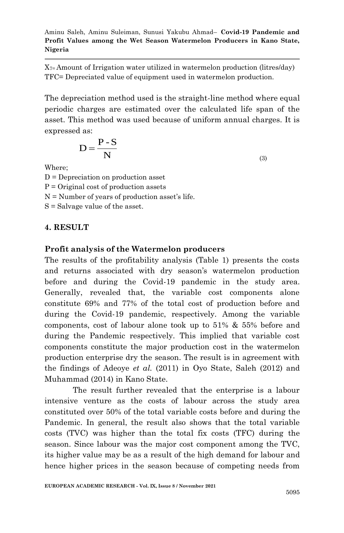$X_{7}$ = Amount of Irrigation water utilized in watermelon production (litres/day) TFC= Depreciated value of equipment used in watermelon production.

The depreciation method used is the straight-line method where equal periodic charges are estimated over the calculated life span of the asset. This method was used because of uniform annual charges. It is expressed as:

$$
D = \frac{P - S}{N}
$$

(3)

Where;

 $D = Depreciation on production asset$  $P =$  Original cost of production assets  $N =$  Number of years of production asset's life. S = Salvage value of the asset.

### **4. RESULT**

### **Profit analysis of the Watermelon producers**

The results of the profitability analysis (Table 1) presents the costs and returns associated with dry season's watermelon production before and during the Covid-19 pandemic in the study area. Generally, revealed that, the variable cost components alone constitute 69% and 77% of the total cost of production before and during the Covid-19 pandemic, respectively. Among the variable components, cost of labour alone took up to 51% & 55% before and during the Pandemic respectively. This implied that variable cost components constitute the major production cost in the watermelon production enterprise dry the season. The result is in agreement with the findings of Adeoye *et al.* (2011) in Oyo State, Saleh (2012) and Muhammad (2014) in Kano State.

The result further revealed that the enterprise is a labour intensive venture as the costs of labour across the study area constituted over 50% of the total variable costs before and during the Pandemic. In general, the result also shows that the total variable costs (TVC) was higher than the total fix costs (TFC) during the season. Since labour was the major cost component among the TVC, its higher value may be as a result of the high demand for labour and hence higher prices in the season because of competing needs from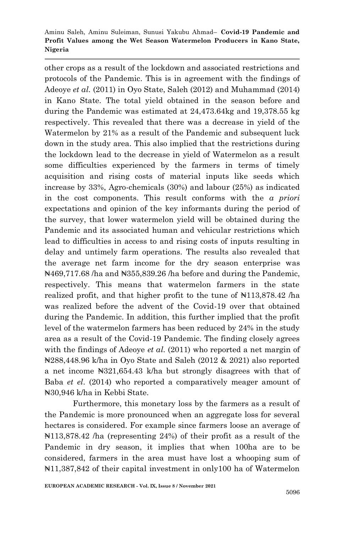other crops as a result of the lockdown and associated restrictions and protocols of the Pandemic. This is in agreement with the findings of Adeoye *et al.* (2011) in Oyo State, Saleh (2012) and Muhammad (2014) in Kano State. The total yield obtained in the season before and during the Pandemic was estimated at 24,473.64kg and 19,378.55 kg respectively. This revealed that there was a decrease in yield of the Watermelon by 21% as a result of the Pandemic and subsequent luck down in the study area. This also implied that the restrictions during the lockdown lead to the decrease in yield of Watermelon as a result some difficulties experienced by the farmers in terms of timely acquisition and rising costs of material inputs like seeds which increase by 33%, Agro-chemicals (30%) and labour (25%) as indicated in the cost components. This result conforms with the *a priori* expectations and opinion of the key informants during the period of the survey, that lower watermelon yield will be obtained during the Pandemic and its associated human and vehicular restrictions which lead to difficulties in access to and rising costs of inputs resulting in delay and untimely farm operations. The results also revealed that the average net farm income for the dry season enterprise was ₦469,717.68 /ha and ₦355,839.26 /ha before and during the Pandemic, respectively. This means that watermelon farmers in the state realized profit, and that higher profit to the tune of  $\text{N113,878.42 }$  has was realized before the advent of the Covid-19 over that obtained during the Pandemic. In addition, this further implied that the profit level of the watermelon farmers has been reduced by 24% in the study area as a result of the Covid-19 Pandemic. The finding closely agrees with the findings of Adeoye et al. (2011) who reported a net margin of ₦288,448.96 k/ha in Oyo State and Saleh (2012 & 2021) also reported a net income ₦321,654.43 k/ha but strongly disagrees with that of Baba *et el*. (2014) who reported a comparatively meager amount of ₦30,946 k/ha in Kebbi State.

Furthermore, this monetary loss by the farmers as a result of the Pandemic is more pronounced when an aggregate loss for several hectares is considered. For example since farmers loose an average of ₦113,878.42 /ha (representing 24%) of their profit as a result of the Pandemic in dry season, it implies that when 100ha are to be considered, farmers in the area must have lost a whooping sum of ₦11,387,842 of their capital investment in only100 ha of Watermelon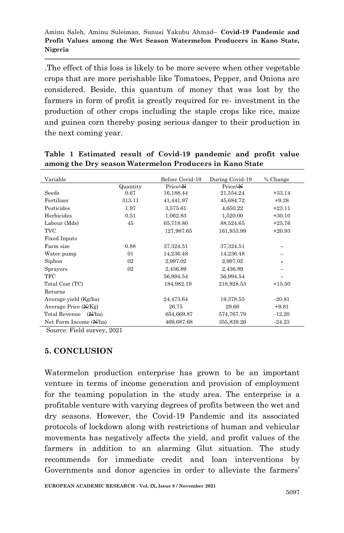.The effect of this loss is likely to be more severe when other vegetable crops that are more perishable like Tomatoes, Pepper, and Onions are considered. Beside, this quantum of money that was lost by the farmers in form of profit is greatly required for re- investment in the production of other crops including the staple crops like rice, maize and guinea corn thereby posing serious danger to their production in the next coming year.

| Variable                |          | Before Covid-19 | During Covid-19 | % Change |
|-------------------------|----------|-----------------|-----------------|----------|
|                         | Quantity | Price/N         | Price/N         |          |
| Seeds                   | 0.67     | 16,188.44       | 21,554.24       | $+33.14$ |
| Fertilizer              | 313.11   | 41,441.97       | 45,684.72       | $+9.28$  |
| Pesticides              | 1.97     | 3,575.61        | 4,650.22        | $+23.11$ |
| Herbicides              | 0.51     | 1,062.83        | 1,520.00        | $+30.10$ |
| Labour (Mds)            | 45       | 65,718.80       | 88,524.65       | $+25.76$ |
| TVC                     |          | 127,987.65      | 161,933.99      | $+20.93$ |
| <b>Fixed Inputs</b>     |          |                 |                 |          |
| Farm size               | 0.88     | 37,324.51       | 37,324.51       |          |
| Water pump              | 01       | 14,236.48       | 14,236.48       |          |
| Siphon                  | 02       | 2,997.02        | 2,997.02        |          |
| Sprayers                | 02       | 2,436.89        | 2,436.89        |          |
| TFC                     |          | 56,994.54       | 56,994.54       |          |
| Total Cost (TC)         |          | 184,982.19      | 218,928.53      | $+15.50$ |
| Returns                 |          |                 |                 |          |
| Average yield (Kg/ha)   |          | 24,473.64       | 19,378.55       | $-20.81$ |
| Average Price (N/Kg)    |          | 26.75           | 29.66           | $+9.81$  |
| Total Revenue<br>(N/ha) |          | 654,669.87      | 574,767.79      | $-12.20$ |
| Net Farm Income (N/ha)  |          | 469,687.68      | 355,839.26      | $-24.23$ |

**Table 1 Estimated result of Covid-19 pandemic and profit value among the Dry season Watermelon Producers in Kano State**

Source: Field survey, 2021

#### **5. CONCLUSION**

Watermelon production enterprise has grown to be an important venture in terms of income generation and provision of employment for the teaming population in the study area. The enterprise is a profitable venture with varying degrees of profits between the wet and dry seasons. However, the Covid-19 Pandemic and its associated protocols of lockdown along with restrictions of human and vehicular movements has negatively affects the yield, and profit values of the farmers in addition to an alarming Glut situation. The study recommends for immediate credit and loan interventions by Governments and donor agencies in order to alleviate the farmers'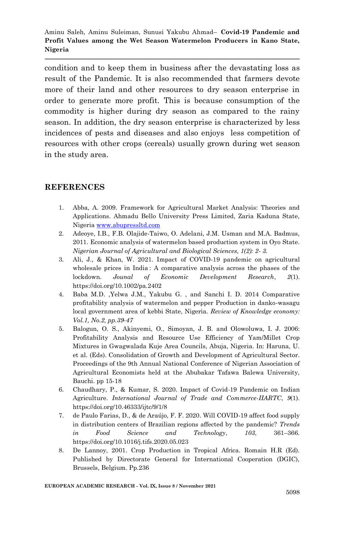condition and to keep them in business after the devastating loss as result of the Pandemic. It is also recommended that farmers devote more of their land and other resources to dry season enterprise in order to generate more profit. This is because consumption of the commodity is higher during dry season as compared to the rainy season. In addition, the dry season enterprise is characterized by less incidences of pests and diseases and also enjoys less competition of resources with other crops (cereals) usually grown during wet season in the study area.

#### **REFERENCES**

- 1. Abba, A. 2009. Framework for Agricultural Market Analysis: Theories and Applications. Ahmadu Bello University Press Limited, Zaria Kaduna State, Nigeri[a www.abupressltd.com](http://www.abupressltd.com/)
- 2. Adeoye, I.B., F.B. Olajide-Taiwo, O. Adelani, J.M. Usman and M.A. Badmus, 2011. Economic analysis of watermelon based production system in Oyo State. *Nigerian Journal of Agricultural and Biological Sciences, 1(2): 2- 3.*
- 3. Ali, J., & Khan, W. 2021. Impact of COVID-19 pandemic on agricultural wholesale prices in India : A comparative analysis across the phases of the lockdown. *Jounal of Economic Development Research*, *2*(1). https://doi.org/10.1002/pa.2402
- 4. Baba M.D. ,Yelwa J.M., Yakubu G. , and Sanchi I. D. 2014 Comparative profitability analysis of watermelon and pepper Production in danko-wasagu local government area of kebbi State, Nigeria. *Review of Knowledge economy: Vol.1, No.2, pp.39-47*
- 5. Balogun, O. S., Akinyemi, O., Simoyan, J. B. and Olowoluwa, I. J. 2006: Profitability Analysis and Resource Use Efficiency of Yam/Millet Crop Mixtures in Gwagwalada Kuje Area Councils, Abuja, Nigeria. In: Haruna, U. et al. (Eds). Consolidation of Growth and Development of Agricultural Sector. Proceedings of the 9th Annual National Conference of Nigerian Association of Agricultural Economists held at the Abubakar Tafawa Balewa University, Bauchi. pp 15-18
- 6. Chaudhary, P., & Kumar, S. 2020. Impact of Covid-19 Pandemic on Indian Agriculture. *International Journal of Trade and Commerce-IIARTC*, *9*(1). https://doi.org/10.46333/ijtc/9/1/8
- 7. de Paulo Farias, D., & de Araújo, F. F. 2020. Will COVID-19 affect food supply in distribution centers of Brazilian regions affected by the pandemic? *Trends in Food Science and Technology*, *103*, 361–366. https://doi.org/10.1016/j.tifs.2020.05.023
- 8. De Lannoy, 2001. Crop Production in Tropical Africa. Romain H.R (Ed). Published by Directorate General for International Cooperation (DGIC), Brussels, Belgium. Pp.236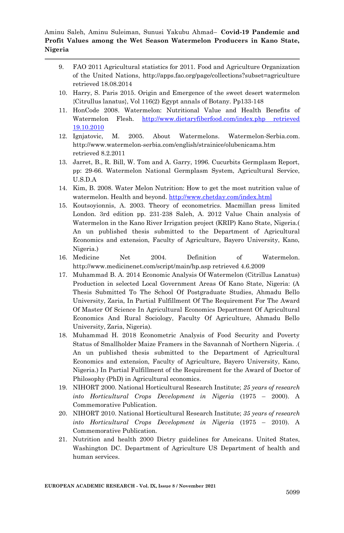- 9. FAO 2011 Agricultural statistics for 2011. Food and Agriculture Organization of the United Nations, http://apps.fao.org/page/collections?subset=agriculture retrieved 18.08.2014
- 10. Harry, S. Paris 2015. Origin and Emergence of the sweet desert watermelon {Citrullus lanatus}, Vol 116(2) Egypt annals of Botany. Pp133-148
- 11. HonCode 2008. Watermelon: Nutritional Value and Health Benefits of Watermelon Flesh. [http://www.dietaryfiberfood.com/index.php retrieved](http://www.dietaryfiberfood.com/index.php%20retrieved%2019.10.2010)  [19.10.2010](http://www.dietaryfiberfood.com/index.php%20retrieved%2019.10.2010)
- 12. Ignjatovic, M. 2005. About Watermelons. Watermelon-Serbia.com. http://www.watermelon-serbia.com/english/strainice/olubenicama.htm retrieved 8.2.2011
- 13. Jarret, B., R. Bill, W. Tom and A. Garry, 1996. Cucurbits Germplasm Report, pp: 29-66. Watermelon National Germplasm System, Agricultural Service, U.S.D.A
- 14. Kim, B. 2008. Water Melon Nutrition: How to get the most nutrition value of watermelon. Health and beyond.<http://www.chetday.com/index.html>
- 15. Koutsoyionnis, A. 2003. Theory of econometrics. Macmillan press limited London. 3rd edition pp. 231-238 Saleh, A. 2012 Value Chain analysis of Watermelon in the Kano River Irrigation project (KRIP) Kano State, Nigeria.( An un published thesis submitted to the Department of Agricultural Economics and extension, Faculty of Agriculture, Bayero University, Kano, Nigeria.)
- 16. Medicine Net 2004. Definition of Watermelon. http://www.medicinenet.com/script/main/hp.asp retrieved 4.6.2009
- 17. Muhammad B. A. 2014 Economic Analysis Of Watermelon (Citrillus Lanatus) Production in selected Local Government Areas Of Kano State, Nigeria: (A Thesis Submitted To The School Of Postgraduate Studies, Ahmadu Bello University, Zaria, In Partial Fulfillment Of The Requirement For The Award Of Master Of Science In Agricultural Economics Department Of Agricultural Economics And Rural Sociology, Faculty Of Agriculture, Ahmadu Bello University, Zaria, Nigeria).
- 18. Muhammad H. 2018 Econometric Analysis of Food Security and Poverty Status of Smallholder Maize Framers in the Savannah of Northern Nigeria. .( An un published thesis submitted to the Department of Agricultural Economics and extension, Faculty of Agriculture, Bayero University, Kano, Nigeria.) In Partial Fulfillment of the Requirement for the Award of Doctor of Philosophy (PhD) in Agricultural economics.
- 19. NIHORT 2000. National Horticultural Research Institute; *25 years of research into Horticultural Crops Development in Nigeria* (1975 – 2000). A Commemorative Publication.
- 20. NIHORT 2010. National Horticultural Research Institute; *35 years of research into Horticultural Crops Development in Nigeria* (1975 – 2010). A Commemorative Publication.
- 21. Nutrition and health 2000 Dietry guidelines for Ameicans. United States, Washington DC. Department of Agriculture US Department of health and human services.